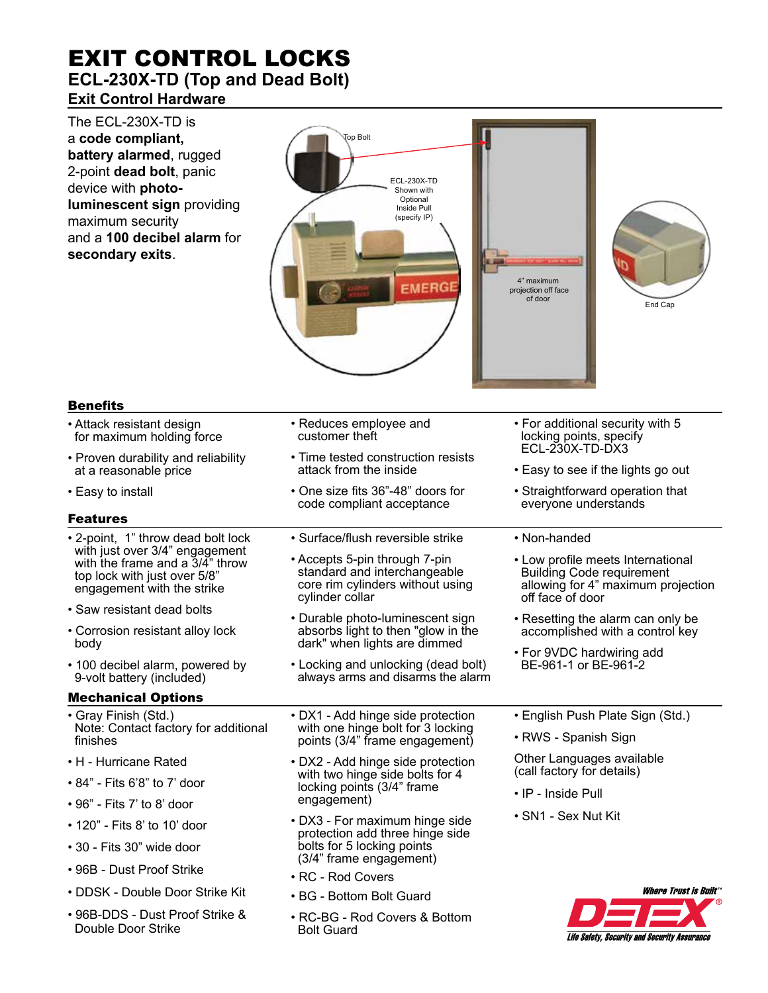## EXIT CONTROL LOCKS **ECL-230X-TD (Top and Dead Bolt) Exit Control Hardware**

The ECL-230X-TD is a **code compliant, battery alarmed**, rugged 2-point **dead bolt**, panic device with **photoluminescent sign** providing maximum security and a **100 decibel alarm** for **secondary exits**.



Life Safety, Security and Security Assurance

## Benefits

| <b>Bene</b> rits                                                                                                                         |                                                                                                                      |                                                                                                                                 |  |
|------------------------------------------------------------------------------------------------------------------------------------------|----------------------------------------------------------------------------------------------------------------------|---------------------------------------------------------------------------------------------------------------------------------|--|
| • Attack resistant design<br>for maximum holding force                                                                                   | • Reduces employee and<br>customer theft                                                                             | • For additional security with 5<br>locking points, specify<br>ECL-230X-TD-DX3                                                  |  |
| • Proven durability and reliability<br>at a reasonable price                                                                             | • Time tested construction resists<br>attack from the inside                                                         | • Easy to see if the lights go out                                                                                              |  |
| • Easy to install                                                                                                                        | • One size fits 36"-48" doors for<br>code compliant acceptance                                                       | • Straightforward operation that<br>everyone understands                                                                        |  |
| <b>Features</b>                                                                                                                          |                                                                                                                      |                                                                                                                                 |  |
| • 2-point, 1" throw dead bolt lock                                                                                                       | • Surface/flush reversible strike                                                                                    | • Non-handed                                                                                                                    |  |
| with just over 3/4" engagement<br>with the frame and a $3/\bar{4}$ " throw<br>top lock with just over 5/8"<br>engagement with the strike | • Accepts 5-pin through 7-pin<br>standard and interchangeable<br>core rim cylinders without using<br>cylinder collar | • Low profile meets International<br><b>Building Code requirement</b><br>allowing for 4" maximum projection<br>off face of door |  |
| • Saw resistant dead bolts                                                                                                               | • Durable photo-luminescent sign                                                                                     | • Resetting the alarm can only be<br>accomplished with a control key                                                            |  |
| • Corrosion resistant alloy lock                                                                                                         | absorbs light to then "glow in the                                                                                   |                                                                                                                                 |  |
| body                                                                                                                                     | dark" when lights are dimmed                                                                                         | • For 9VDC hardwiring add                                                                                                       |  |
| • 100 decibel alarm, powered by<br>9-volt battery (included)                                                                             | • Locking and unlocking (dead bolt)<br>always arms and disarms the alarm                                             | BE-961-1 or BE-961-2                                                                                                            |  |
| <b>Mechanical Options</b>                                                                                                                |                                                                                                                      |                                                                                                                                 |  |
| • Gray Finish (Std.)                                                                                                                     | • DX1 - Add hinge side protection<br>with one hinge bolt for 3 locking<br>points (3/4" frame engagement)             | • English Push Plate Sign (Std.)                                                                                                |  |
| Note: Contact factory for additional<br>finishes                                                                                         |                                                                                                                      | • RWS - Spanish Sign                                                                                                            |  |
| • H - Hurricane Rated                                                                                                                    | • DX2 - Add hinge side protection                                                                                    | Other Languages available<br>(call factory for details)                                                                         |  |
| • 84" - Fits 6'8" to 7' door                                                                                                             | with two hinge side bolts for 4                                                                                      |                                                                                                                                 |  |
| • 96" - Fits 7' to 8' door                                                                                                               | locking points (3/4" frame<br>engagement)                                                                            | • IP - Inside Pull                                                                                                              |  |
| • 120" - Fits 8' to 10' door                                                                                                             | • DX3 - For maximum hinge side                                                                                       | · SN1 - Sex Nut Kit                                                                                                             |  |
|                                                                                                                                          | protection add three hinge side                                                                                      |                                                                                                                                 |  |
| • 30 - Fits 30" wide door                                                                                                                | bolts for 5 locking points<br>(3/4" frame engagement)                                                                |                                                                                                                                 |  |
| • 96B - Dust Proof Strike                                                                                                                | • RC - Rod Covers                                                                                                    |                                                                                                                                 |  |
| • DDSK - Double Door Strike Kit                                                                                                          | • BG - Bottom Bolt Guard                                                                                             | <b>Where Trust is Built"</b>                                                                                                    |  |
| • 96B-DDS - Dust Proof Strike &<br>Double Door Strike                                                                                    | • RC-BG - Rod Covers & Bottom<br><b>Bolt Guard</b>                                                                   |                                                                                                                                 |  |

Bolt Guard